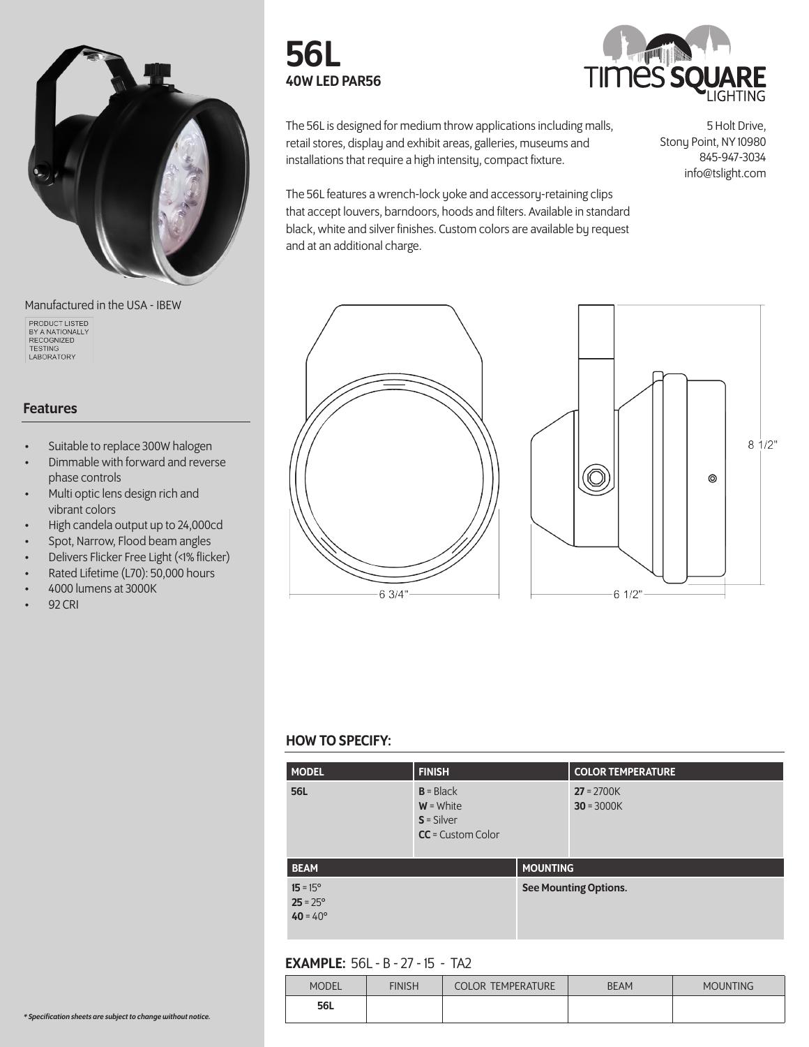

Manufactured in the USA - IBEW

PRODUCT LISTED<br>BY A NATIONALLY<br>RECOGNIZED<br>TESTING<br>LABORATORY

### Features

- Suitable to replace 300W halogen
- Dimmable with forward and reverse phase controls
- Multi optic lens design rich and vibrant colors
- High candela output up to 24,000cd
- Spot, Narrow, Flood beam angles
- Delivers Flicker Free Light (<1% flicker)
- Rated Lifetime (L70): 50,000 hours
- 4000 lumens at 3000K
- 92 CRI

# 56L 40W LED PAR56



The 56L is designed for medium throw applications including malls, retail stores, display and exhibit areas, galleries, museums and installations that require a high intensity, compact fixture.

5 Holt Drive, Stony Point, NY 10980 845-947-3034 info@tslight.com

The 56L features a wrench-lock yoke and accessory-retaining clips that accept louvers, barndoors, hoods and filters. Available in standard black, white and silver finishes. Custom colors are available by request and at an additional charge.





### HOW TO SPECIFY:

| <b>MODEL</b>                                                | <b>FINISH</b>                                                     |                 | <b>COLOR TEMPERATURE</b>     |
|-------------------------------------------------------------|-------------------------------------------------------------------|-----------------|------------------------------|
| 56L                                                         | $B = Black$<br>$W =$ White<br>$S =$ Silver<br>$CC =$ Custom Color |                 | $27 = 2700K$<br>$30 = 3000K$ |
| <b>BEAM</b>                                                 |                                                                   | <b>MOUNTING</b> |                              |
| $15 = 15^{\circ}$<br>$25 = 25^{\circ}$<br>$40 = 40^{\circ}$ |                                                                   |                 | <b>See Mounting Options.</b> |

## EXAMPLE: 56L - B - 27 - 15 - TA2

| <b>MODEL</b> | <b>FINISH</b> | <b>COLOR TEMPERATURE</b> | <b>BEAM</b> | <b>MOUNTING</b> |
|--------------|---------------|--------------------------|-------------|-----------------|
| <b>56L</b>   |               |                          |             |                 |